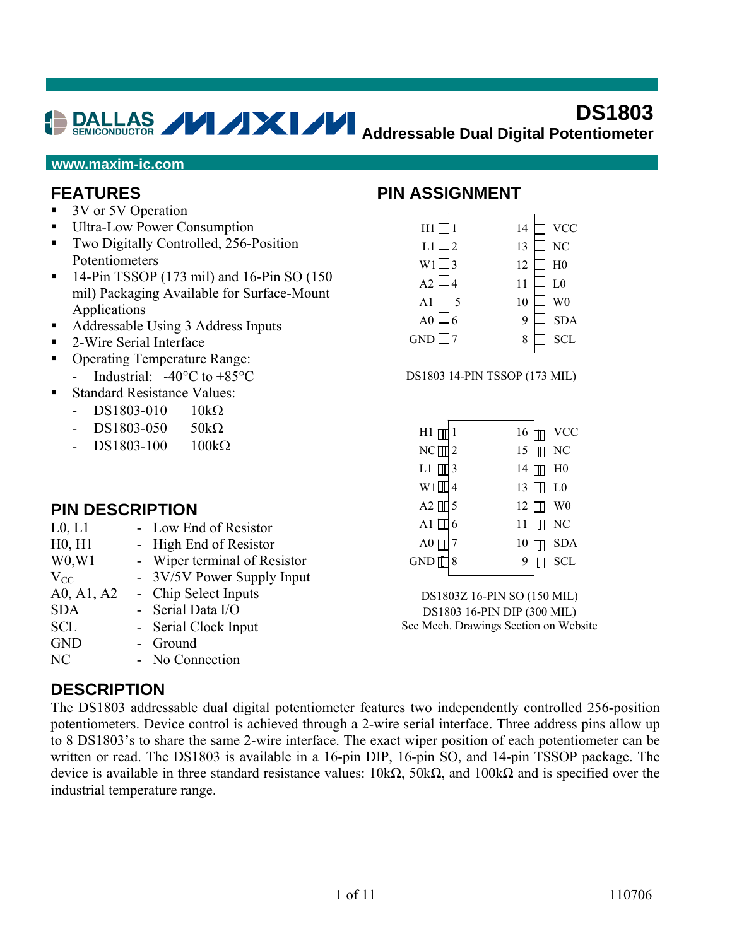#### **DS1803 Addressable Dual Digital Potentiometer**

#### **www.maxim-ic.com**

#### **FEATURES**

- 3V or 5V Operation
- Ultra-Low Power Consumption
- Two Digitally Controlled, 256-Position Potentiometers
- $\blacksquare$  14-Pin TSSOP (173 mil) and 16-Pin SO (150 mil) Packaging Available for Surface-Mount Applications
- Addressable Using 3 Address Inputs
- 2-Wire Serial Interface
- Operating Temperature Range:
	- Industrial:  $-40^{\circ}$ C to  $+85^{\circ}$ C
- Standard Resistance Values:
	- $-$  DS1803-010 10kΩ
	- $DS1803-050$  50kΩ
	- $DS1803-100$  100kΩ

#### **PIN DESCRIPTION**

| L <sub>0</sub> , L <sub>1</sub> | - Low End of Resistor      |
|---------------------------------|----------------------------|
| H0, H1                          | High End of Resistor       |
| W <sub>0</sub> , W <sub>1</sub> | Wiper terminal of Resistor |
| $V_{CC}$                        | 3V/5V Power Supply Input   |
| A0, A1, A2                      | - Chip Select Inputs       |
| <b>SDA</b>                      | - Serial Data I/O          |
| <b>SCL</b>                      | Serial Clock Input         |
| <b>GND</b>                      | - Ground                   |
| NC                              | - No Connection            |

#### **DESCRIPTION**

The DS1803 addressable dual digital potentiometer features two independently controlled 256-position potentiometers. Device control is achieved through a 2-wire serial interface. Three address pins allow up to 8 DS1803's to share the same 2-wire interface. The exact wiper position of each potentiometer can be written or read. The DS1803 is available in a 16-pin DIP, 16-pin SO, and 14-pin TSSOP package. The device is available in three standard resistance values: 10kΩ, 50kΩ, and 100kΩ and is specified over the industrial temperature range.

#### **PIN ASSIGNMENT**

| H1             | 14                   | <b>VCC</b>     |
|----------------|----------------------|----------------|
| L1             | $\overline{c}$<br>13 | N <sub>C</sub> |
| W1             | 3<br>12              | H <sub>0</sub> |
| A2             | 11<br>4              | L <sub>0</sub> |
| A1             | 5<br>10              | W <sub>0</sub> |
| A <sub>0</sub> | 6<br>9               | <b>SDA</b>     |
| <b>GND</b>     | 8                    | <b>SCL</b>     |
|                |                      |                |

DS1803 14-PIN TSSOP (173 MIL)

| H1                                | 1 | 16 | <b>VCC</b>     |
|-----------------------------------|---|----|----------------|
| $NC$ <sup><math>\Box</math></sup> | 2 | 15 | NC             |
| L1                                | 3 | 14 | $_{\rm H0}$    |
| W1                                | 4 | 13 | L <sub>0</sub> |
| $A2$ $\Box$                       | 5 | 12 | W <sub>0</sub> |
| A1 [ <u>]</u>                     | 6 | 11 | N <sub>C</sub> |
| A <sub>0</sub>                    |   | 10 | <b>SDA</b>     |
| <b>GND</b>                        | 8 | 9  | SCL            |
|                                   |   |    |                |

DS1803Z 16-PIN SO (150 MIL) DS1803 16-PIN DIP (300 MIL) See Mech. Drawings Section on Website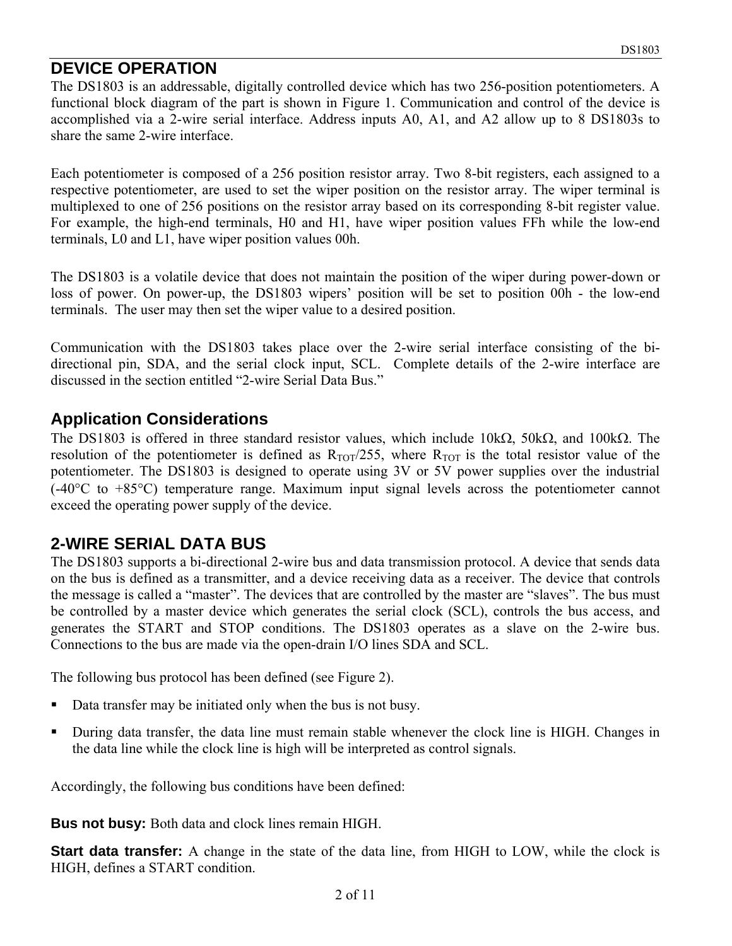### **DEVICE OPERATION**

The DS1803 is an addressable, digitally controlled device which has two 256-position potentiometers. A functional block diagram of the part is shown in Figure 1. Communication and control of the device is accomplished via a 2-wire serial interface. Address inputs A0, A1, and A2 allow up to 8 DS1803s to share the same 2-wire interface.

Each potentiometer is composed of a 256 position resistor array. Two 8-bit registers, each assigned to a respective potentiometer, are used to set the wiper position on the resistor array. The wiper terminal is multiplexed to one of 256 positions on the resistor array based on its corresponding 8-bit register value. For example, the high-end terminals, H0 and H1, have wiper position values FFh while the low-end terminals, L0 and L1, have wiper position values 00h.

The DS1803 is a volatile device that does not maintain the position of the wiper during power-down or loss of power. On power-up, the DS1803 wipers' position will be set to position 00h - the low-end terminals. The user may then set the wiper value to a desired position.

Communication with the DS1803 takes place over the 2-wire serial interface consisting of the bidirectional pin, SDA, and the serial clock input, SCL. Complete details of the 2-wire interface are discussed in the section entitled "2-wire Serial Data Bus."

#### **Application Considerations**

The DS1803 is offered in three standard resistor values, which include 10kΩ, 50kΩ, and 100kΩ. The resolution of the potentiometer is defined as  $R_{TOT}/255$ , where  $R_{TOT}$  is the total resistor value of the potentiometer. The DS1803 is designed to operate using 3V or 5V power supplies over the industrial (-40°C to +85°C) temperature range. Maximum input signal levels across the potentiometer cannot exceed the operating power supply of the device.

## **2-WIRE SERIAL DATA BUS**

The DS1803 supports a bi-directional 2-wire bus and data transmission protocol. A device that sends data on the bus is defined as a transmitter, and a device receiving data as a receiver. The device that controls the message is called a "master". The devices that are controlled by the master are "slaves". The bus must be controlled by a master device which generates the serial clock (SCL), controls the bus access, and generates the START and STOP conditions. The DS1803 operates as a slave on the 2-wire bus. Connections to the bus are made via the open-drain I/O lines SDA and SCL.

The following bus protocol has been defined (see Figure 2).

- Data transfer may be initiated only when the bus is not busy.
- During data transfer, the data line must remain stable whenever the clock line is HIGH. Changes in the data line while the clock line is high will be interpreted as control signals.

Accordingly, the following bus conditions have been defined:

**Bus not busy:** Both data and clock lines remain HIGH.

**Start data transfer:** A change in the state of the data line, from HIGH to LOW, while the clock is HIGH, defines a START condition.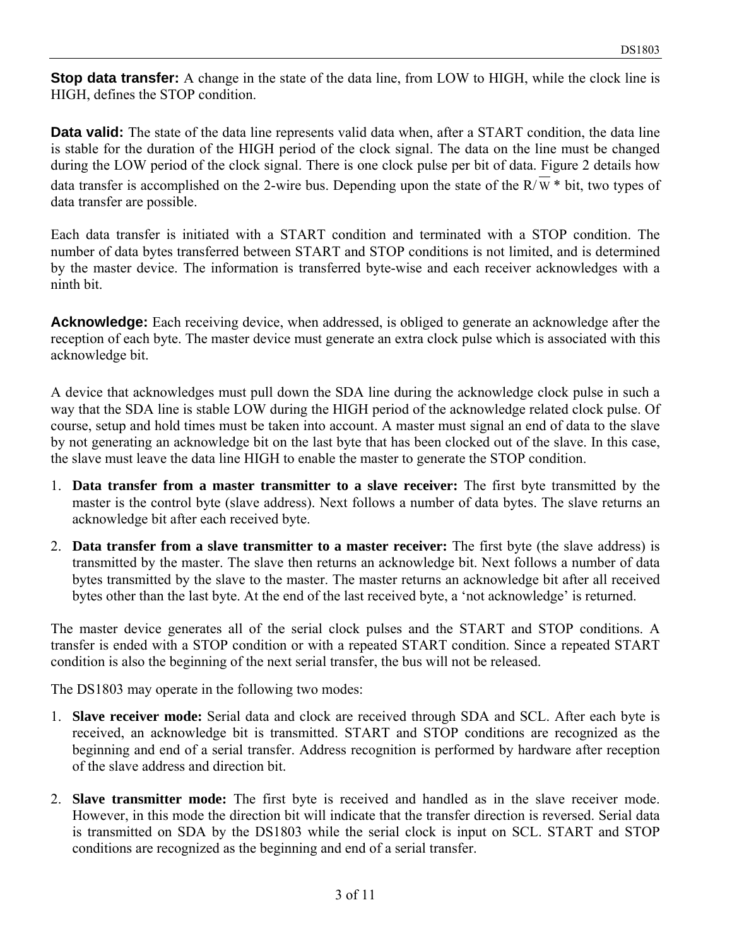**Stop data transfer:** A change in the state of the data line, from LOW to HIGH, while the clock line is HIGH, defines the STOP condition.

**Data valid:** The state of the data line represents valid data when, after a START condition, the data line is stable for the duration of the HIGH period of the clock signal. The data on the line must be changed during the LOW period of the clock signal. There is one clock pulse per bit of data. Figure 2 details how data transfer is accomplished on the 2-wire bus. Depending upon the state of the R/ $\overline{W}$  \* bit, two types of data transfer are possible.

Each data transfer is initiated with a START condition and terminated with a STOP condition. The number of data bytes transferred between START and STOP conditions is not limited, and is determined by the master device. The information is transferred byte-wise and each receiver acknowledges with a ninth bit.

**Acknowledge:** Each receiving device, when addressed, is obliged to generate an acknowledge after the reception of each byte. The master device must generate an extra clock pulse which is associated with this acknowledge bit.

A device that acknowledges must pull down the SDA line during the acknowledge clock pulse in such a way that the SDA line is stable LOW during the HIGH period of the acknowledge related clock pulse. Of course, setup and hold times must be taken into account. A master must signal an end of data to the slave by not generating an acknowledge bit on the last byte that has been clocked out of the slave. In this case, the slave must leave the data line HIGH to enable the master to generate the STOP condition.

- 1. **Data transfer from a master transmitter to a slave receiver:** The first byte transmitted by the master is the control byte (slave address). Next follows a number of data bytes. The slave returns an acknowledge bit after each received byte.
- 2. **Data transfer from a slave transmitter to a master receiver:** The first byte (the slave address) is transmitted by the master. The slave then returns an acknowledge bit. Next follows a number of data bytes transmitted by the slave to the master. The master returns an acknowledge bit after all received bytes other than the last byte. At the end of the last received byte, a 'not acknowledge' is returned.

The master device generates all of the serial clock pulses and the START and STOP conditions. A transfer is ended with a STOP condition or with a repeated START condition. Since a repeated START condition is also the beginning of the next serial transfer, the bus will not be released.

The DS1803 may operate in the following two modes:

- 1. **Slave receiver mode:** Serial data and clock are received through SDA and SCL. After each byte is received, an acknowledge bit is transmitted. START and STOP conditions are recognized as the beginning and end of a serial transfer. Address recognition is performed by hardware after reception of the slave address and direction bit.
- 2. **Slave transmitter mode:** The first byte is received and handled as in the slave receiver mode. However, in this mode the direction bit will indicate that the transfer direction is reversed. Serial data is transmitted on SDA by the DS1803 while the serial clock is input on SCL. START and STOP conditions are recognized as the beginning and end of a serial transfer.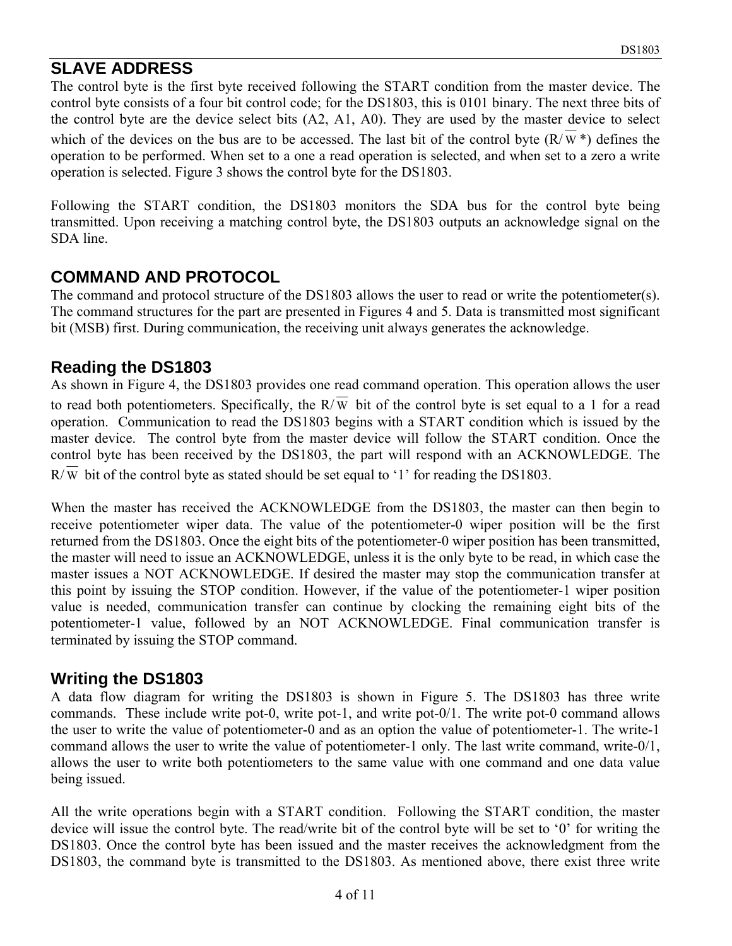## **SLAVE ADDRESS**

The control byte is the first byte received following the START condition from the master device. The control byte consists of a four bit control code; for the DS1803, this is 0101 binary. The next three bits of the control byte are the device select bits (A2, A1, A0). They are used by the master device to select which of the devices on the bus are to be accessed. The last bit of the control byte  $(R/\overline{W}^*)$  defines the operation to be performed. When set to a one a read operation is selected, and when set to a zero a write operation is selected. Figure 3 shows the control byte for the DS1803.

Following the START condition, the DS1803 monitors the SDA bus for the control byte being transmitted. Upon receiving a matching control byte, the DS1803 outputs an acknowledge signal on the SDA line.

### **COMMAND AND PROTOCOL**

The command and protocol structure of the DS1803 allows the user to read or write the potentiometer(s). The command structures for the part are presented in Figures 4 and 5. Data is transmitted most significant bit (MSB) first. During communication, the receiving unit always generates the acknowledge.

#### **Reading the DS1803**

As shown in Figure 4, the DS1803 provides one read command operation. This operation allows the user to read both potentiometers. Specifically, the  $R/\overline{W}$  bit of the control byte is set equal to a 1 for a read operation. Communication to read the DS1803 begins with a START condition which is issued by the master device. The control byte from the master device will follow the START condition. Once the control byte has been received by the DS1803, the part will respond with an ACKNOWLEDGE. The R/ W bit of the control byte as stated should be set equal to '1' for reading the DS1803.

When the master has received the ACKNOWLEDGE from the DS1803, the master can then begin to receive potentiometer wiper data. The value of the potentiometer-0 wiper position will be the first returned from the DS1803. Once the eight bits of the potentiometer-0 wiper position has been transmitted, the master will need to issue an ACKNOWLEDGE, unless it is the only byte to be read, in which case the master issues a NOT ACKNOWLEDGE. If desired the master may stop the communication transfer at this point by issuing the STOP condition. However, if the value of the potentiometer-1 wiper position value is needed, communication transfer can continue by clocking the remaining eight bits of the potentiometer-1 value, followed by an NOT ACKNOWLEDGE. Final communication transfer is terminated by issuing the STOP command.

#### **Writing the DS1803**

A data flow diagram for writing the DS1803 is shown in Figure 5. The DS1803 has three write commands. These include write pot-0, write pot-1, and write pot-0/1. The write pot-0 command allows the user to write the value of potentiometer-0 and as an option the value of potentiometer-1. The write-1 command allows the user to write the value of potentiometer-1 only. The last write command, write-0/1, allows the user to write both potentiometers to the same value with one command and one data value being issued.

All the write operations begin with a START condition. Following the START condition, the master device will issue the control byte. The read/write bit of the control byte will be set to '0' for writing the DS1803. Once the control byte has been issued and the master receives the acknowledgment from the DS1803, the command byte is transmitted to the DS1803. As mentioned above, there exist three write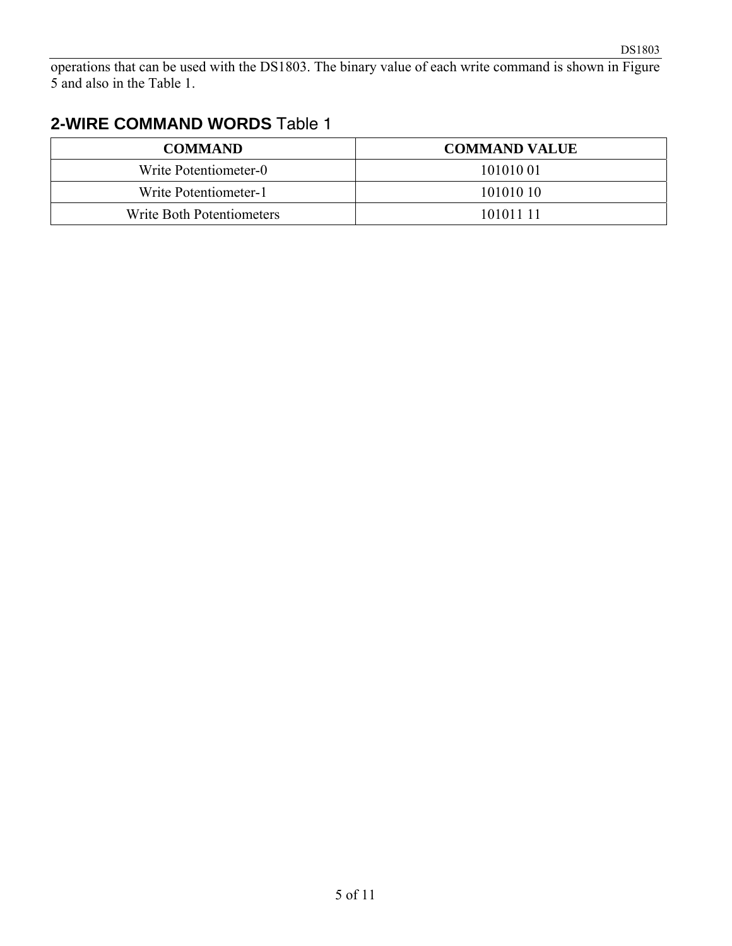operations that can be used with the DS1803. The binary value of each write command is shown in Figure 5 and also in the Table 1.

## **2-WIRE COMMAND WORDS** Table 1

| <b>COMMAND</b>            | <b>COMMAND VALUE</b> |
|---------------------------|----------------------|
| Write Potentiometer-0     | 101010 01            |
| Write Potentiometer-1     | 101010 10            |
| Write Both Potentiometers | 101011 11            |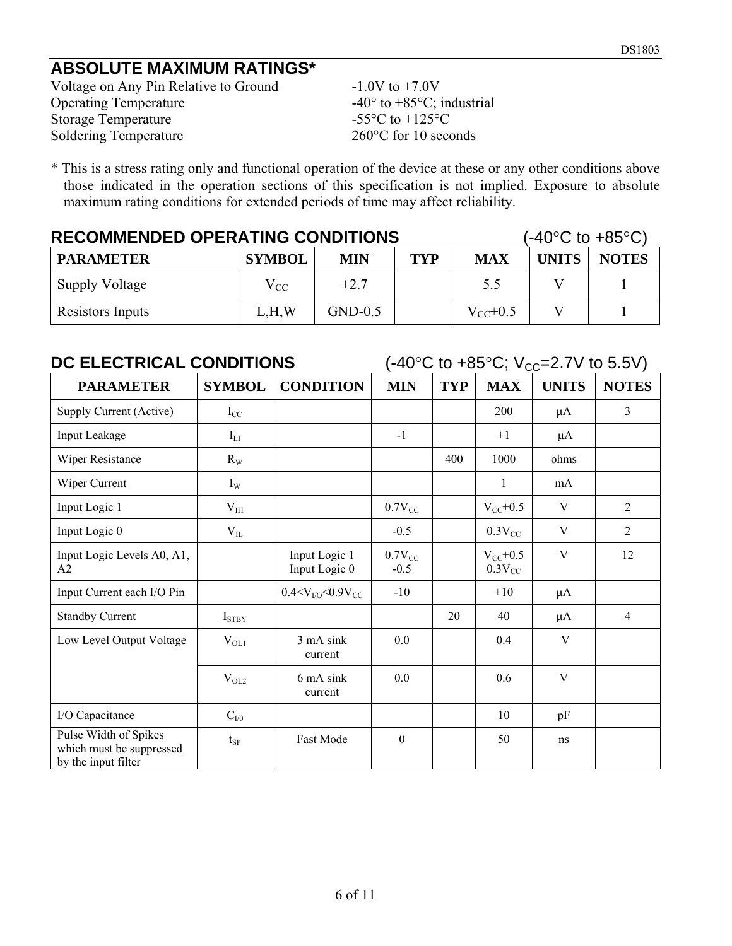## **ABSOLUTE MAXIMUM RATINGS\***

Voltage on Any Pin Relative to Ground -1.0V to +7.0V<br>Operating Temperature -40° to +85°C; i Storage Temperature Soldering Temperature 260°C for 10 seconds

-40° to +85°C; industrial<br>-55°C to +125°C

\* This is a stress rating only and functional operation of the device at these or any other conditions above those indicated in the operation sections of this specification is not implied. Exposure to absolute maximum rating conditions for extended periods of time may affect reliability.

| <b>RECOMMENDED OPERATING CONDITIONS</b> |               |            |            |               |              | $(-40^{\circ}C \text{ to } +85^{\circ}C)$ |
|-----------------------------------------|---------------|------------|------------|---------------|--------------|-------------------------------------------|
| <b>PARAMETER</b>                        | <b>SYMBOL</b> | <b>MIN</b> | <b>TYP</b> | <b>MAX</b>    | <b>UNITS</b> | <b>NOTES</b>                              |
| <b>Supply Voltage</b>                   | $\rm V_{CC}$  | $+27$      |            | 5.5           |              |                                           |
| Resistors Inputs                        | L.H.W         | $GND-0.5$  |            | $V_{CC}$ +0.5 |              |                                           |

| DC ELECTRICAL CONDITIONS                                                 |               |                                |                       | $(-40^{\circ}$ C to $+85^{\circ}$ C; V <sub>cc</sub> =2.7V to 5.5V) |                              |              |                |
|--------------------------------------------------------------------------|---------------|--------------------------------|-----------------------|---------------------------------------------------------------------|------------------------------|--------------|----------------|
| <b>PARAMETER</b>                                                         | <b>SYMBOL</b> | <b>CONDITION</b>               | <b>MIN</b>            | <b>TYP</b>                                                          | <b>MAX</b>                   | <b>UNITS</b> | <b>NOTES</b>   |
| Supply Current (Active)                                                  | $I_{CC}$      |                                |                       |                                                                     | 200                          | $\mu$ A      | 3              |
| Input Leakage                                                            | $I_{LI}$      |                                | $-1$                  |                                                                     | $+1$                         | μA           |                |
| Wiper Resistance                                                         | $R_W$         |                                |                       | 400                                                                 | 1000                         | ohms         |                |
| Wiper Current                                                            | $I_{W}$       |                                |                       |                                                                     | 1                            | mA           |                |
| Input Logic 1                                                            | $V_{IH}$      |                                | $0.7V_{CC}$           |                                                                     | $V_{CC}+0.5$                 | V            | 2              |
| Input Logic 0                                                            | $V_{IL}$      |                                | $-0.5$                |                                                                     | $0.3V_{CC}$                  | V            | 2              |
| Input Logic Levels A0, A1,<br>A2                                         |               | Input Logic 1<br>Input Logic 0 | $0.7V_{CC}$<br>$-0.5$ |                                                                     | $V_{CC}$ +0.5<br>$0.3V_{CC}$ | V            | 12             |
| Input Current each I/O Pin                                               |               | $0.4 < VV/O < 0.9 VCC$         | $-10$                 |                                                                     | $+10$                        | $\mu$ A      |                |
| <b>Standby Current</b>                                                   | $I_{STBY}$    |                                |                       | 20                                                                  | 40                           | $\mu$ A      | $\overline{4}$ |
| Low Level Output Voltage                                                 | $V_{OL1}$     | 3 mA sink<br>current           | 0.0                   |                                                                     | 0.4                          | V            |                |
|                                                                          | $V_{OL2}$     | 6 mA sink<br>current           | 0.0                   |                                                                     | 0.6                          | V            |                |
| I/O Capacitance                                                          | $C_{V0}$      |                                |                       |                                                                     | 10                           | pF           |                |
| Pulse Width of Spikes<br>which must be suppressed<br>by the input filter | $t_{SP}$      | <b>Fast Mode</b>               | $\mathbf{0}$          |                                                                     | 50                           | ns           |                |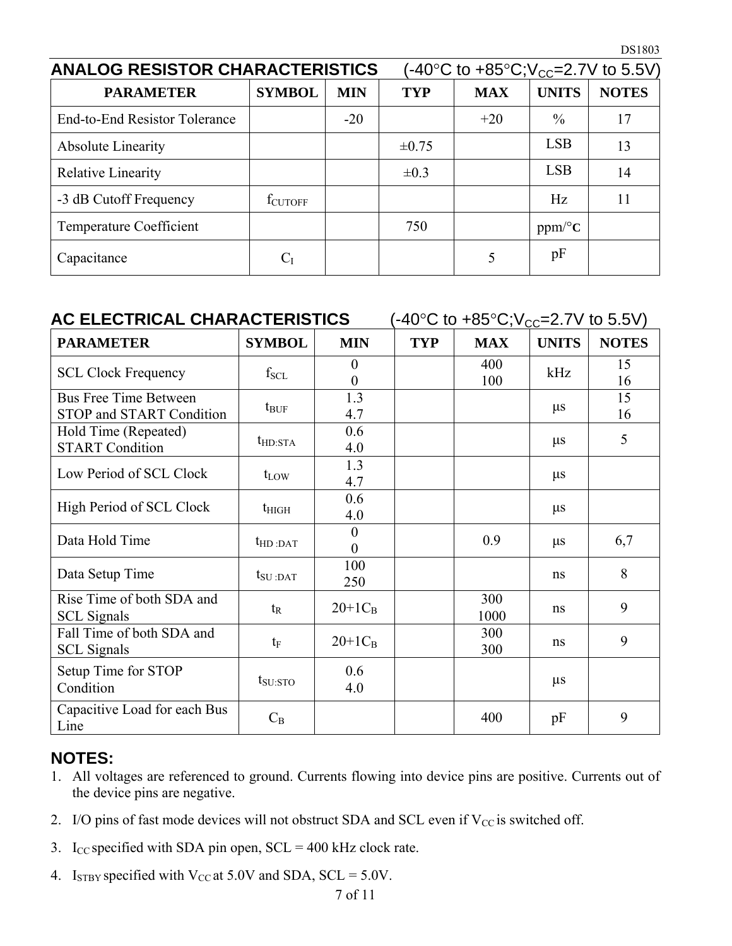| <b>ANALOG RESISTOR CHARACTERISTICS</b> | (-40°C to +85°C;V <sub>cc</sub> =2.7V to 5.5V) |            |            |            |                        |              |
|----------------------------------------|------------------------------------------------|------------|------------|------------|------------------------|--------------|
| <b>PARAMETER</b>                       | <b>SYMBOL</b>                                  | <b>MIN</b> | <b>TYP</b> | <b>MAX</b> | <b>UNITS</b>           | <b>NOTES</b> |
| <b>End-to-End Resistor Tolerance</b>   |                                                | $-20$      |            | $+20$      | $\frac{0}{0}$          | 17           |
| <b>Absolute Linearity</b>              |                                                |            | $\pm 0.75$ |            | <b>LSB</b>             | 13           |
| <b>Relative Linearity</b>              |                                                |            | $\pm 0.3$  |            | <b>LSB</b>             | 14           |
| -3 dB Cutoff Frequency                 | fcutoff                                        |            |            |            | Hz                     | 11           |
| <b>Temperature Coefficient</b>         |                                                |            | 750        |            | $ppm$ <sup>o</sup> $C$ |              |
| Capacitance                            | $C_I$                                          |            |            |            | pF                     |              |

| AC ELECTRICAL CHARACTERISTICS<br>$(-40\degree C$ to $+85\degree C; V_{CC} = 2.7V$ to 5.5V) |                            |                      |            |             |              |              |
|--------------------------------------------------------------------------------------------|----------------------------|----------------------|------------|-------------|--------------|--------------|
| <b>PARAMETER</b>                                                                           | <b>SYMBOL</b>              | <b>MIN</b>           | <b>TYP</b> | <b>MAX</b>  | <b>UNITS</b> | <b>NOTES</b> |
| <b>SCL Clock Frequency</b>                                                                 | $f_{\rm SCL}$              | $\overline{0}$<br>0  |            | 400<br>100  | kHz          | 15<br>16     |
| <b>Bus Free Time Between</b><br><b>STOP and START Condition</b>                            | $t_{\text{BUF}}$           | 1.3<br>4.7           |            |             | $\mu$ s      | 15<br>16     |
| Hold Time (Repeated)<br><b>START Condition</b>                                             | $t_{HD:STA}$               | 0.6<br>4.0           |            |             | $\mu s$      | 5            |
| Low Period of SCL Clock                                                                    | $t_{LOW}$                  | 1.3<br>4.7           |            |             | $\mu s$      |              |
| High Period of SCL Clock                                                                   | $t_{\rm HIGH}$             | 0.6<br>4.0           |            |             | $\mu$ s      |              |
| Data Hold Time                                                                             | $t_{HD:DAT}$               | $\theta$<br>$\theta$ |            | 0.9         | $\mu$ s      | 6,7          |
| Data Setup Time                                                                            | $t_{\text{SU}:\text{DAT}}$ | 100<br>250           |            |             | ns           | 8            |
| Rise Time of both SDA and<br><b>SCL</b> Signals                                            | $t_{R}$                    | $20+1C_B$            |            | 300<br>1000 | ns           | 9            |
| Fall Time of both SDA and<br><b>SCL</b> Signals                                            | $t_{\rm F}$                | $20+1C_B$            |            | 300<br>300  | ns           | 9            |
| Setup Time for STOP<br>Condition                                                           | $t_{\rm SU:STO}$           | 0.6<br>4.0           |            |             | $\mu$ s      |              |
| Capacitive Load for each Bus<br>Line                                                       | $C_B$                      |                      |            | 400         | pF           | 9            |

### **NOTES:**

- 1. All voltages are referenced to ground. Currents flowing into device pins are positive. Currents out of the device pins are negative.
- 2. I/O pins of fast mode devices will not obstruct SDA and SCL even if  $V_{CC}$  is switched off.
- 3. I<sub>CC</sub> specified with SDA pin open,  $SCL = 400$  kHz clock rate.
- 4. I<sub>STBY</sub> specified with V<sub>CC</sub> at 5.0V and SDA, SCL =  $5.0V$ .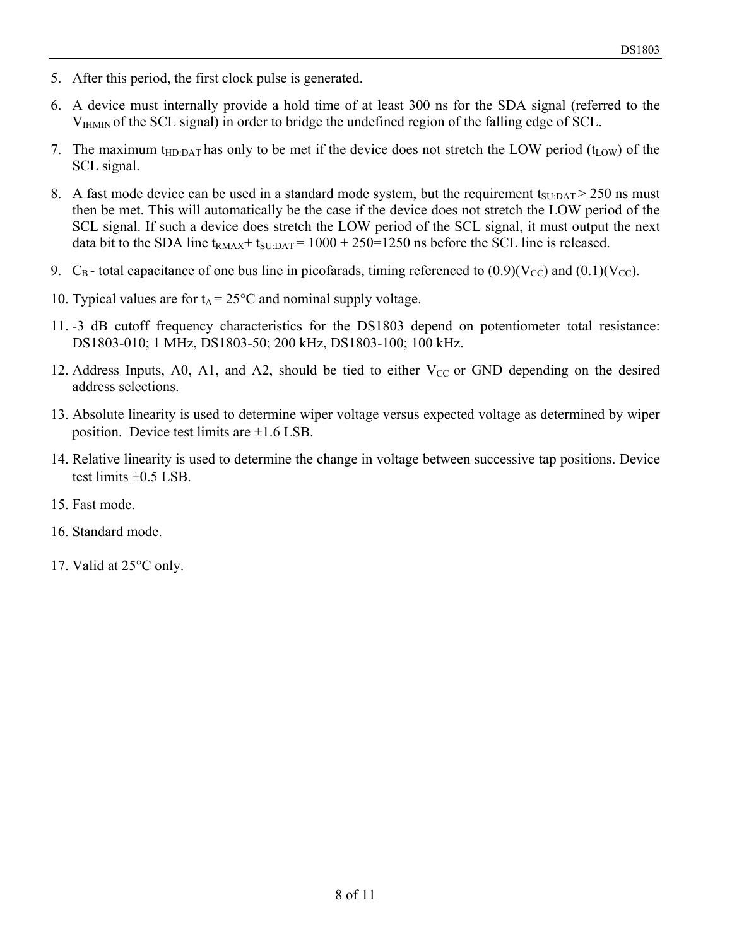- 5. After this period, the first clock pulse is generated.
- 6. A device must internally provide a hold time of at least 300 ns for the SDA signal (referred to the VIHMIN of the SCL signal) in order to bridge the undefined region of the falling edge of SCL.
- 7. The maximum t<sub>HD:DAT</sub> has only to be met if the device does not stretch the LOW period ( $t_{LOW}$ ) of the SCL signal.
- 8. A fast mode device can be used in a standard mode system, but the requirement  $t_{\text{SUDAT}} > 250$  ns must then be met. This will automatically be the case if the device does not stretch the LOW period of the SCL signal. If such a device does stretch the LOW period of the SCL signal, it must output the next data bit to the SDA line  $t_{\text{RMAX}} + t_{\text{SUDAT}} = 1000 + 250 = 1250$  ns before the SCL line is released.
- 9.  $C_{\rm B}$  total capacitance of one bus line in picofarads, timing referenced to (0.9)(V<sub>CC</sub>) and (0.1)(V<sub>CC</sub>).
- 10. Typical values are for  $t_A = 25^{\circ}$ C and nominal supply voltage.
- 11. -3 dB cutoff frequency characteristics for the DS1803 depend on potentiometer total resistance: DS1803-010; 1 MHz, DS1803-50; 200 kHz, DS1803-100; 100 kHz.
- 12. Address Inputs, A0, A1, and A2, should be tied to either  $V_{CC}$  or GND depending on the desired address selections.
- 13. Absolute linearity is used to determine wiper voltage versus expected voltage as determined by wiper position. Device test limits are ±1.6 LSB.
- 14. Relative linearity is used to determine the change in voltage between successive tap positions. Device test limits ±0.5 LSB.
- 15. Fast mode.
- 16. Standard mode.
- 17. Valid at 25°C only.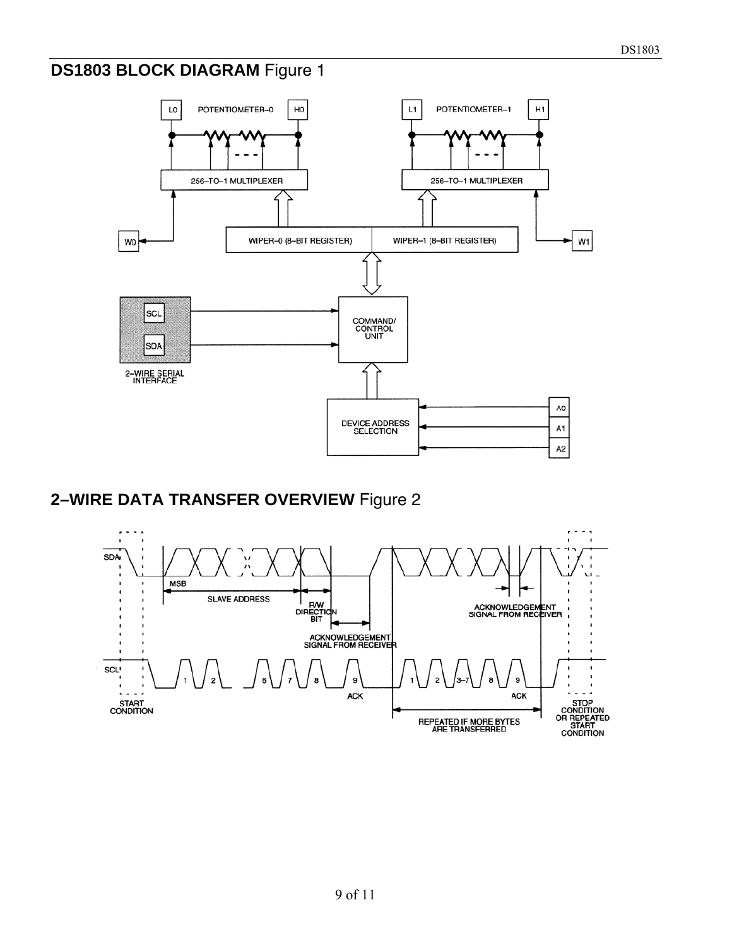## **DS1803 BLOCK DIAGRAM** Figure 1



#### **2–WIRE DATA TRANSFER OVERVIEW** Figure 2

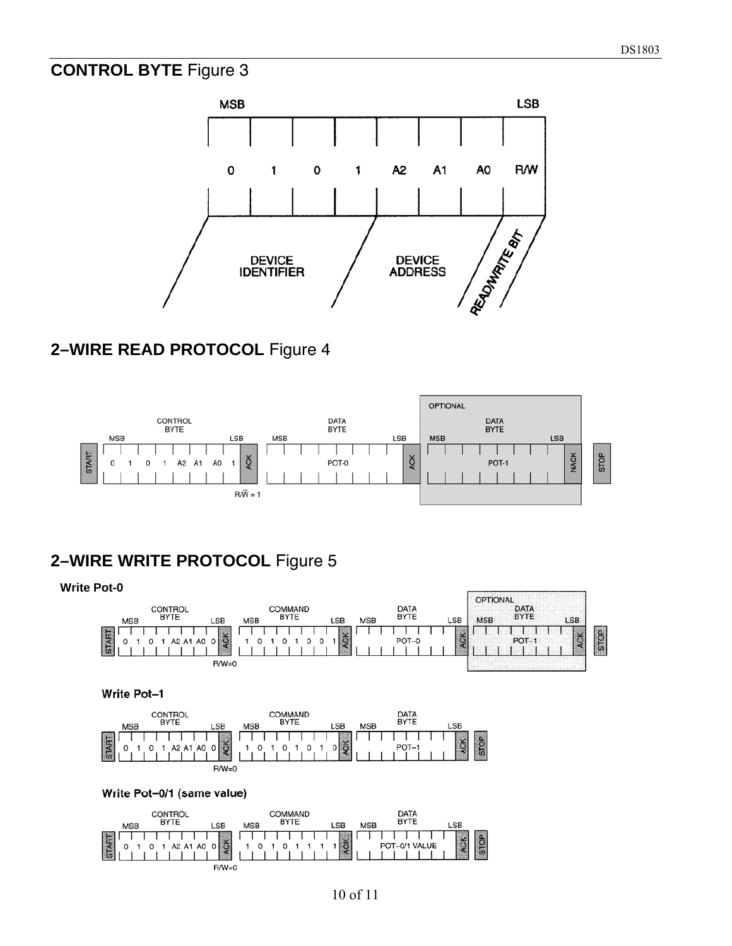#### **CONTROL BYTE** Figure 3



#### **2–WIRE READ PROTOCOL** Figure 4



## **2–WIRE WRITE PROTOCOL** Figure 5

 $R/W=0$